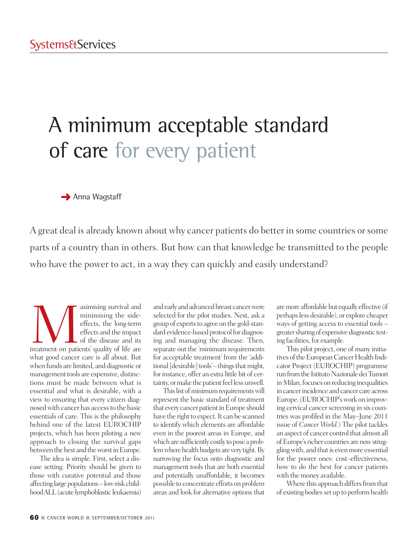# A minimum acceptable standard of care for every patient

**→** Anna Wagstaff

A great deal is already known about why cancer patients do better in some countries or some parts of a country than in others. But how can that knowledge be transmitted to the people who have the power to act, in a way they can quickly and easily understand?

aximising survival and minimising the side-<br>effects, the long-term effects and the impact<br>of the disease and its<br>treatment on patients' quality of life are minimising the sideeffects, the long-term effects and the impact of the disease and its what good cancer care is all about. But when funds are limited, and diagnostic or management tools are expensive, distinctions must be made between what is essential and what is desirable, with a view to ensuring that every citizen diagnosed with cancer has access to the basic essentials of care. This is the philosophy behind one of the latest EUROCHIP projects, which has been piloting a new approach to closing the survival gaps between the best and the worst in Europe.

The idea is simple. First, select a disease setting. Priority should be given to those with curative potential and those affecting large populations – low-risk childhoodALL(acute lymphoblastic leukaemia)

and early and advanced breast cancerwere selected for the pilot studies. Next, ask a group of experts to agree on the gold-standard evidence-based protocol for diagnosing and managing the disease. Then, separate out the 'minimum requirements for acceptable treatment' from the 'additional [desirable] tools'– things that might, for instance, offer an extra little bit of certainty, or make the patient feel less unwell.

This list of minimum requirements will represent the basic standard of treatment that every cancer patient in Europe should have the right to expect. It can be scanned to identify which elements are affordable even in the poorest areas in Europe, and which are sufficiently costly to pose a problem where health budgets are very tight. By narrowing the focus onto diagnostic and management tools that are both essential and potentially unaffordable, it becomes possible to concentrate efforts on problem areas and look for alternative options that aremore affordable but equally effective (if perhapsless desirable), or explore cheaper ways of getting access to essential tools – greater sharing of expensive diagnostic testing facilities, for example.

This pilot project, one of many initiatives of the European Cancer Health Indicator Project (EUROCHIP) programme run from the Istituto Nazionale dei Tumori in Milan, focuses on reducing inequalities in cancer incidence and cancer care across Europe.(EUROCHIP'swork on improving cervical cancer screening in six countries was profiled in the May–June 2011 issue of *Cancer World*.) The pilot tackles an aspect of cancer control that almost all of Europe's richer countries are now struggling with, and that is even more essential for the poorer ones: cost–effectiveness, how to do the best for cancer patients with the money available.

Where this approach differs from that of existing bodies set up to perform health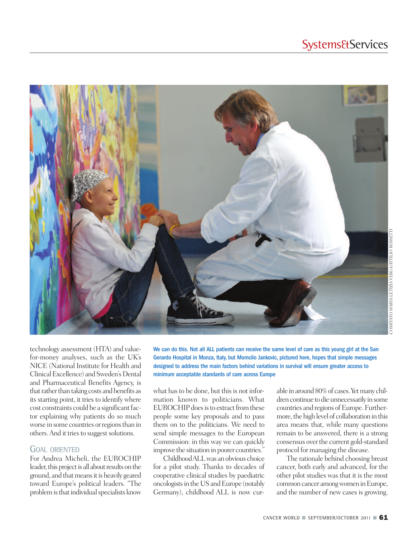### **Systems&Services**



COMITATO MARIA LETIZIA VERGA/ATTILIO ROSSETTI COMITATO MARIA LETIZIA VERGA/ATTILIO ROSSETT

technology assessment (HTA) and valuefor-money analyses, such as the UK's NICE (National Institute for Health and Clinical Excellence) and Sweden's Dental and Pharmaceutical Benefits Agency, is that rather than taking costs and benefits as its starting point, it tries to identify where cost constraints could be a significant factor explaining why patients do so much worse in some countries or regions than in others. And it tries to suggest solutions.

### GOAL ORIENTED

For Andrea Micheli, the EUROCHIP leader, this project is all about results on the ground, and that means it is heavily geared toward Europe's political leaders. "The problem is that individual specialists know We can do this. Not all ALL patients can receive the same level of care as this young girl at the San Gerardo Hospital in Monza, Italy, but Momcilo Jankovic, pictured here, hopes that simple messages designed to address the main factors behind variations in survival will ensure greater access to minimum acceptable standards of care across Europe

what has to be done, but this is not information known to politicians. What EUROCHIP does is to extract from these people some key proposals and to pass them on to the politicians. We need to send simple messages to the European Commission: in this way we can quickly improve the situation in poorer countries."

ChildhoodALLwas anobvious choice for a pilot study. Thanks to decades of cooperative clinical studies by paediatric oncologists in the US and Europe (notably Germany), childhood ALL is now curable in around 80% of cases. Yet many children continue to die unnecessarily in some countries and regions of Europe. Furthermore, the high level of collaboration in this area means that, while many questions remain to be answered, there is a strong consensus overthe current gold-standard protocol for managing the disease.

The rationale behind choosing breast cancer, both early and advanced, for the other pilot studies was that it is the most common cancer among women in Europe, and the number of new cases is growing.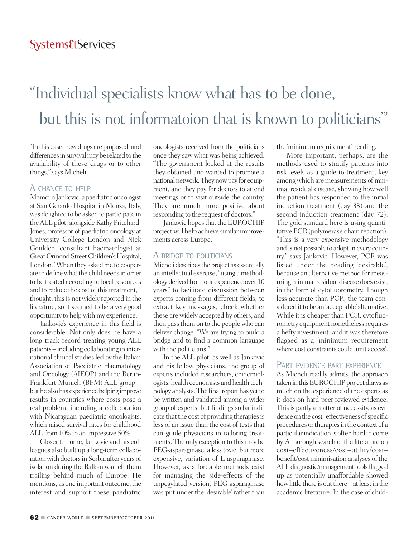## "Individual specialists know what has to be done, but this is not informatoion that is known to politicians "'

"In this case, newdrugs are proposed, and differences in survival may be related to the availability of these drugs or to other things,"says Micheli.

### A CHANCE TO HELP

Momcilo Jankovic, a paediatric oncologist at San Gerardo Hospital in Monza, Italy, was delighted to be asked to participate in theALL pilot, alongside Kathy Pritchard-Jones, professor of paediatric oncology at University College London and Nick Goulden, consultant haematologist at Great Ormond Street Children's Hospital, London. "When they asked me to cooperate to define what the child needs in order to be treated according to local resources and to reduce the cost of this treatment, I thought, this is not widely reported in the literature, so it seemed to be a very good opportunity to helpwith my experience."

Jankovic's experience in this field is considerable. Not only does he have a long track record treating young ALL patients – including collaborating in international clinical studies led by the Italian Association of Paediatric Haematology and Oncology (AIEOP) and the Berlin-Frankfurt-Munich (BFM) ALL group – but he also has experience helping improve results in countries where costs pose a real problem, including a collaboration with Nicaraguan paediatric oncologists, which raised survival rates for childhood ALL from 10% to an impressive 50%.

Closer to home, Jankovic and his colleagues also built up a long-term collaboration with doctors in Serbia after years of isolation during the Balkan war left them trailing behind much of Europe. He mentions, as one important outcome, the interest and support these paediatric

oncologists received from the politicians once they saw what was being achieved. "The government looked at the results they obtained and wanted to promote a national network. They now pay for equipment, and they pay for doctors to attend meetings or to visit outside the country. They are much more positive about responding to the request of doctors."

Jankovic hopes that the EUROCHIP projectwill help achieve similarimprovements across Europe.

### A BRIDGE TO POLITICIANS

Micheli describes the project as essentially an intellectual exercise,"using amethodology derived fromour experience over 10 years" to facilitate discussion between experts coming from different fields, to extract key messages, check whether these are widely accepted by others, and then pass them on to the people who can deliver change. "We are trying to build a bridge and to find a common language with the politicians."

In the ALL pilot, as well as Jankovic and his fellow physicians, the group of experts included researchers, epidemiologists, health economists and health technology analysts. The final report has yet to be written and validated among a wider group of experts, but findings so far indicate that the cost of providing therapies is less of an issue than the cost of tests that can guide physicians in tailoring treatments. The only exception to this may be PEG-asparaginase, a less toxic, but more expensive, variation of L-asparaginase. However, as affordable methods exist for managing the side-effects of the unpegylated version, PEG-asparaginase was put under the 'desirable' rather than

the 'minimum requirement'heading.

More important, perhaps, are the methods used to stratify patients into risk levels as a guide to treatment, key amongwhich are measurements of minimal residual disease, showing how well the patient has responded to the initial induction treatment (day 33) and the second induction treatment (day 72). The gold standard here is using quantitative PCR (polymerase chain reaction). "This is a very expensive methodology and is not possible to adopt in every country," says Jankovic. However, PCR was listed under the heading 'desirable', because an alternative method for measuring minimal residual disease does exist, in the form of cytofluorometry. Though less accurate than PCR, the team considered it to be an 'acceptable' alternative. While it is cheaper than PCR, cytofluorometry equipment nonetheless requires a hefty investment, and it was therefore flagged as a 'minimum requirement where cost constraints could limit access'.

### PART EVIDENCE PART EXPERIENCE

As Micheli readily admits, the approach taken in this EUROCHIP project draws as much on the experience of the experts as it does on hard peer-reviewed evidence. This is partly a matter of necessity, as evidence on the cost-effectiveness of specific procedures or therapies in the context of a particular indication is often hard to come by.A thorough search of the literature on cost–effectiveness/cost–utility/cost– benefit/cost minimisation analyses of the ALL diagnostic/management tools flagged up as potentially unaffordable showed how little there is out there – at least in the academic literature. In the case of child-